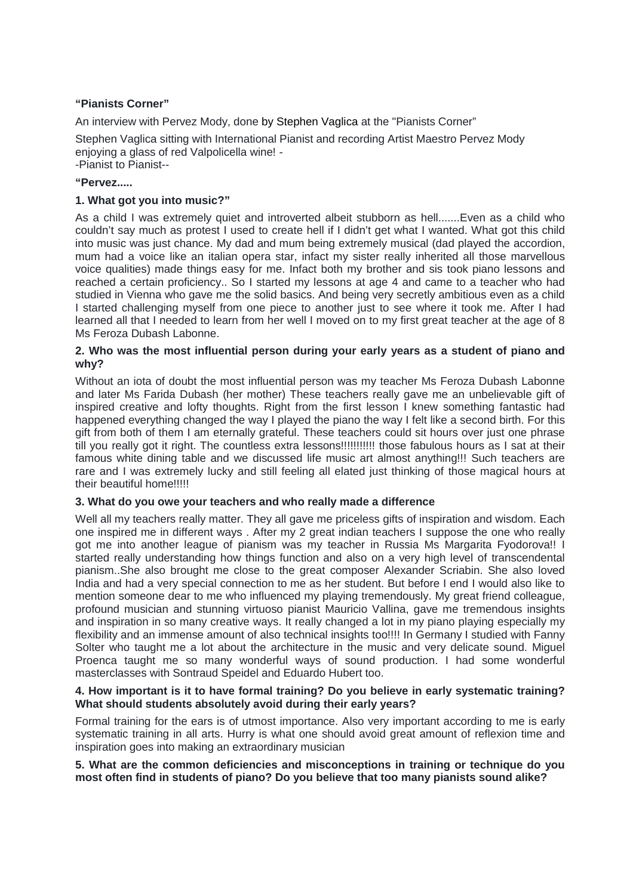## **"Pianists Corner"**

An interview with Pervez Mody, done by Stephen Vaglica at the "Pianists Corner"

Stephen Vaglica sitting with International Pianist and recording Artist Maestro Pervez Mody enjoying a glass of red Valpolicella wine! - -Pianist to Pianist--

### **"Pervez.....**

### **1. What got you into music?"**

As a child I was extremely quiet and introverted albeit stubborn as hell....... Even as a child who couldn't say much as protest I used to create hell if I didn't get what I wanted. What got this child into music was just chance. My dad and mum being extremely musical (dad played the accordion, mum had a voice like an italian opera star, infact my sister really inherited all those marvellous voice qualities) made things easy for me. Infact both my brother and sis took piano lessons and reached a certain proficiency.. So I started my lessons at age 4 and came to a teacher who had studied in Vienna who gave me the solid basics. And being very secretly ambitious even as a child I started challenging myself from one piece to another just to see where it took me. After I had learned all that I needed to learn from her well I moved on to my first great teacher at the age of 8 Ms Feroza Dubash Labonne.

### **2. Who was the most influential person during your early years as a student of piano and why?**

Without an iota of doubt the most influential person was my teacher Ms Feroza Dubash Labonne and later Ms Farida Dubash (her mother) These teachers really gave me an unbelievable gift of inspired creative and lofty thoughts. Right from the first lesson I knew something fantastic had happened everything changed the way I played the piano the way I felt like a second birth. For this gift from both of them I am eternally grateful. These teachers could sit hours over just one phrase till you really got it right. The countless extra lessons!!!!!!!!!!! those fabulous hours as I sat at their famous white dining table and we discussed life music art almost anything!!! Such teachers are rare and I was extremely lucky and still feeling all elated just thinking of those magical hours at their beautiful home!!!!!

#### **3. What do you owe your teachers and who really made a difference**

Well all my teachers really matter. They all gave me priceless gifts of inspiration and wisdom. Each one inspired me in different ways . After my 2 great indian teachers I suppose the one who really got me into another league of pianism was my teacher in Russia Ms Margarita Fyodorova!! I started really understanding how things function and also on a very high level of transcendental pianism..She also brought me close to the great composer Alexander Scriabin. She also loved India and had a very special connection to me as her student. But before I end I would also like to mention someone dear to me who influenced my playing tremendously. My great friend colleague, profound musician and stunning virtuoso pianist Mauricio Vallina, gave me tremendous insights and inspiration in so many creative ways. It really changed a lot in my piano playing especially my flexibility and an immense amount of also technical insights too!!!! In Germany I studied with Fanny Solter who taught me a lot about the architecture in the music and very delicate sound. Miguel Proenca taught me so many wonderful ways of sound production. I had some wonderful masterclasses with Sontraud Speidel and Eduardo Hubert too.

#### **4. How important is it to have formal training? Do you believe in early systematic training? What should students absolutely avoid during their early years?**

Formal training for the ears is of utmost importance. Also very important according to me is early systematic training in all arts. Hurry is what one should avoid great amount of reflexion time and inspiration goes into making an extraordinary musician

**5. What are the common deficiencies and misconceptions in training or technique do you most often find in students of piano? Do you believe that too many pianists sound alike?**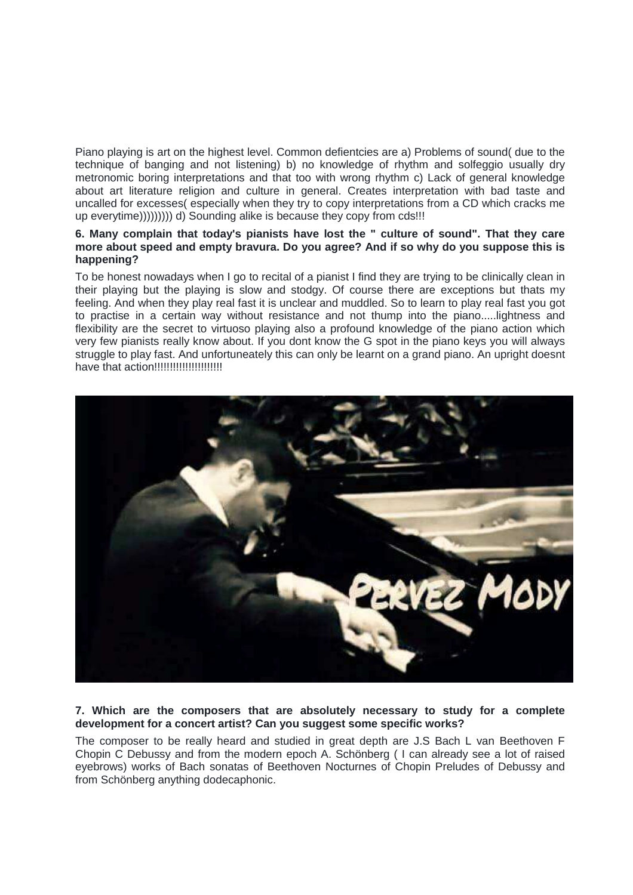Piano playing is art on the highest level. Common defientcies are a) Problems of sound( due to the technique of banging and not listening) b) no knowledge of rhythm and solfeggio usually dry metronomic boring interpretations and that too with wrong rhythm c) Lack of general knowledge about art literature religion and culture in general. Creates interpretation with bad taste and uncalled for excesses( especially when they try to copy interpretations from a CD which cracks me up everytime)))))))))))))) d) Sounding alike is because they copy from cds!!!

## **6. Many complain that today's pianists have lost the " culture of sound". That they care more about speed and empty bravura. Do you agree? And if so why do you suppose this is happening?**

To be honest nowadays when I go to recital of a pianist I find they are trying to be clinically clean in their playing but the playing is slow and stodgy. Of course there are exceptions but thats my feeling. And when they play real fast it is unclear and muddled. So to learn to play real fast you got to practise in a certain way without resistance and not thump into the piano.....lightness and flexibility are the secret to virtuoso playing also a profound knowledge of the piano action which very few pianists really know about. If you dont know the G spot in the piano keys you will always struggle to play fast. And unfortuneately this can only be learnt on a grand piano. An upright doesnt have that action!!!!!!!!!!!!!!!!!!!!!!



# **7. Which are the composers that are absolutely necessary to study for a complete development for a concert artist? Can you suggest some specific works?**

The composer to be really heard and studied in great depth are J.S Bach L van Beethoven F Chopin C Debussy and from the modern epoch A. Schönberg ( I can already see a lot of raised eyebrows) works of Bach sonatas of Beethoven Nocturnes of Chopin Preludes of Debussy and from Schönberg anything dodecaphonic.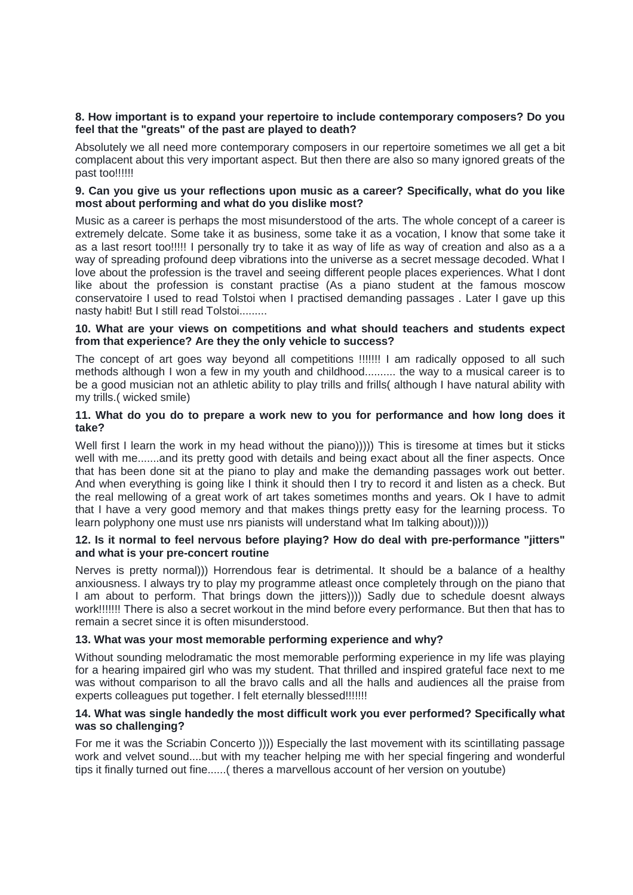### **8. How important is to expand your repertoire to include contemporary composers? Do you feel that the "greats" of the past are played to death?**

Absolutely we all need more contemporary composers in our repertoire sometimes we all get a bit complacent about this very important aspect. But then there are also so many ignored greats of the past too!!!!!!

### **9. Can you give us your reflections upon music as a career? Specifically, what do you like most about performing and what do you dislike most?**

Music as a career is perhaps the most misunderstood of the arts. The whole concept of a career is extremely delcate. Some take it as business, some take it as a vocation, I know that some take it as a last resort too!!!!! I personally try to take it as way of life as way of creation and also as a a way of spreading profound deep vibrations into the universe as a secret message decoded. What I love about the profession is the travel and seeing different people places experiences. What I dont like about the profession is constant practise (As a piano student at the famous moscow conservatoire I used to read Tolstoi when I practised demanding passages . Later I gave up this nasty habit! But I still read Tolstoi.........

#### **10. What are your views on competitions and what should teachers and students expect from that experience? Are they the only vehicle to success?**

The concept of art goes way beyond all competitions !!!!!!! I am radically opposed to all such methods although I won a few in my youth and childhood.......... the way to a musical career is to be a good musician not an athletic ability to play trills and frills( although I have natural ability with my trills.( wicked smile)

## **11. What do you do to prepare a work new to you for performance and how long does it take?**

Well first I learn the work in my head without the piano))))) This is tiresome at times but it sticks well with me.......and its pretty good with details and being exact about all the finer aspects. Once that has been done sit at the piano to play and make the demanding passages work out better. And when everything is going like I think it should then I try to record it and listen as a check. But the real mellowing of a great work of art takes sometimes months and years. Ok I have to admit that I have a very good memory and that makes things pretty easy for the learning process. To learn polyphony one must use nrs pianists will understand what Im talking about)))))

## **12. Is it normal to feel nervous before playing? How do deal with pre-performance "jitters" and what is your pre-concert routine**

Nerves is pretty normal))) Horrendous fear is detrimental. It should be a balance of a healthy anxiousness. I always try to play my programme atleast once completely through on the piano that I am about to perform. That brings down the jitters)))) Sadly due to schedule doesnt always work!!!!!!! There is also a secret workout in the mind before every performance. But then that has to remain a secret since it is often misunderstood.

## **13. What was your most memorable performing experience and why?**

Without sounding melodramatic the most memorable performing experience in my life was playing for a hearing impaired girl who was my student. That thrilled and inspired grateful face next to me was without comparison to all the bravo calls and all the halls and audiences all the praise from experts colleagues put together. I felt eternally blessed!!!!!!!

## **14. What was single handedly the most difficult work you ever performed? Specifically what was so challenging?**

For me it was the Scriabin Concerto )))) Especially the last movement with its scintillating passage work and velvet sound....but with my teacher helping me with her special fingering and wonderful tips it finally turned out fine......( theres a marvellous account of her version on youtube)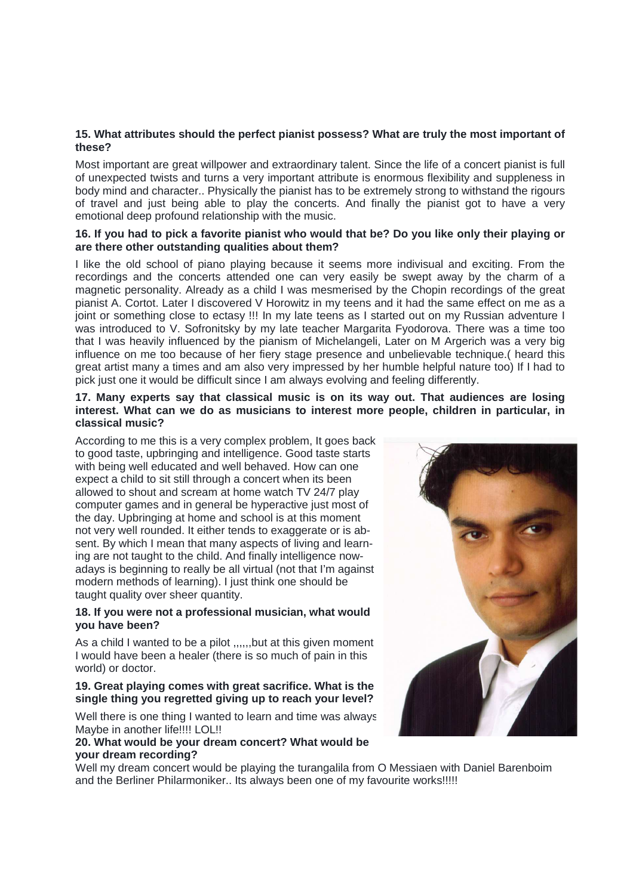# **15. What attributes should the perfect pianist possess? What are truly the most important of these?**

Most important are great willpower and extraordinary talent. Since the life of a concert pianist is full of unexpected twists and turns a very important attribute is enormous flexibility and suppleness in body mind and character.. Physically the pianist has to be extremely strong to withstand the rigours of travel and just being able to play the concerts. And finally the pianist got to have a very emotional deep profound relationship with the music.

## **16. If you had to pick a favorite pianist who would that be? Do you like only their playing or are there other outstanding qualities about them?**

I like the old school of piano playing because it seems more indivisual and exciting. From the recordings and the concerts attended one can very easily be swept away by the charm of a magnetic personality. Already as a child I was mesmerised by the Chopin recordings of the great pianist A. Cortot. Later I discovered V Horowitz in my teens and it had the same effect on me as a joint or something close to ectasy !!! In my late teens as I started out on my Russian adventure I was introduced to V. Sofronitsky by my late teacher Margarita Fyodorova. There was a time too that I was heavily influenced by the pianism of Michelangeli, Later on M Argerich was a very big influence on me too because of her fiery stage presence and unbelievable technique.( heard this great artist many a times and am also very impressed by her humble helpful nature too) If I had to pick just one it would be difficult since I am always evolving and feeling differently.

### **17. Many experts say that classical music is on its way out. That audiences are losing interest. What can we do as musicians to interest more people, children in particular, in classical music?**

According to me this is a very complex problem, It goes back to good taste, upbringing and intelligence. Good taste starts with being well educated and well behaved. How can one expect a child to sit still through a concert when its been allowed to shout and scream at home watch TV 24/7 play computer games and in general be hyperactive just most of the day. Upbringing at home and school is at this moment not very well rounded. It either tends to exaggerate or is absent. By which I mean that many aspects of living and learning are not taught to the child. And finally intelligence nowadays is beginning to really be all virtual (not that I'm against modern methods of learning). I just think one should be taught quality over sheer quantity.

## **18. If you were not a professional musician, what would you have been?**

As a child I wanted to be a pilot ,,,,,,but at this given moment I would have been a healer (there is so much of pain in this world) or doctor.

## **19. Great playing comes with great sacrifice. What is the single thing you regretted giving up to reach your level?**

Well there is one thing I wanted to learn and time was always Maybe in another life!!!! LOL!!





Well my dream concert would be playing the turangalila from O Messiaen with Daniel Barenboim and the Berliner Philarmoniker.. Its always been one of my favourite works!!!!!